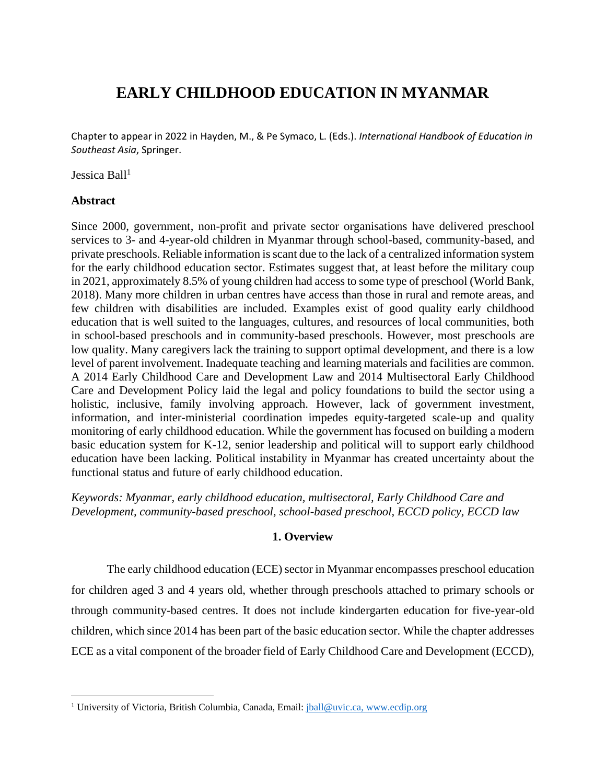# **EARLY CHILDHOOD EDUCATION IN MYANMAR**

Chapter to appear in 2022 in Hayden, M., & Pe Symaco, L. (Eds.). *International Handbook of Education in Southeast Asia*, Springer.

Jessica Ball $1$ 

# **Abstract**

Since 2000, government, non-profit and private sector organisations have delivered preschool services to 3- and 4-year-old children in Myanmar through school-based, community-based, and private preschools. Reliable information is scant due to the lack of a centralized information system for the early childhood education sector. Estimates suggest that, at least before the military coup in 2021, approximately 8.5% of young children had access to some type of preschool (World Bank, 2018). Many more children in urban centres have access than those in rural and remote areas, and few children with disabilities are included. Examples exist of good quality early childhood education that is well suited to the languages, cultures, and resources of local communities, both in school-based preschools and in community-based preschools. However, most preschools are low quality. Many caregivers lack the training to support optimal development, and there is a low level of parent involvement. Inadequate teaching and learning materials and facilities are common. A 2014 Early Childhood Care and Development Law and 2014 Multisectoral Early Childhood Care and Development Policy laid the legal and policy foundations to build the sector using a holistic, inclusive, family involving approach. However, lack of government investment, information, and inter-ministerial coordination impedes equity-targeted scale-up and quality monitoring of early childhood education. While the government has focused on building a modern basic education system for K-12, senior leadership and political will to support early childhood education have been lacking. Political instability in Myanmar has created uncertainty about the functional status and future of early childhood education.

*Keywords: Myanmar, early childhood education, multisectoral, Early Childhood Care and Development, community-based preschool, school-based preschool, ECCD policy, ECCD law* 

# **1. Overview**

The early childhood education (ECE) sector in Myanmar encompasses preschool education for children aged 3 and 4 years old, whether through preschools attached to primary schools or through community-based centres. It does not include kindergarten education for five-year-old children, which since 2014 has been part of the basic education sector. While the chapter addresses ECE as a vital component of the broader field of Early Childhood Care and Development (ECCD),

<sup>&</sup>lt;sup>1</sup> University of Victoria, British Columbia, Canada, Email: [jball@uvic.ca,](mailto:jball@uvic.ca) www.ecdip.org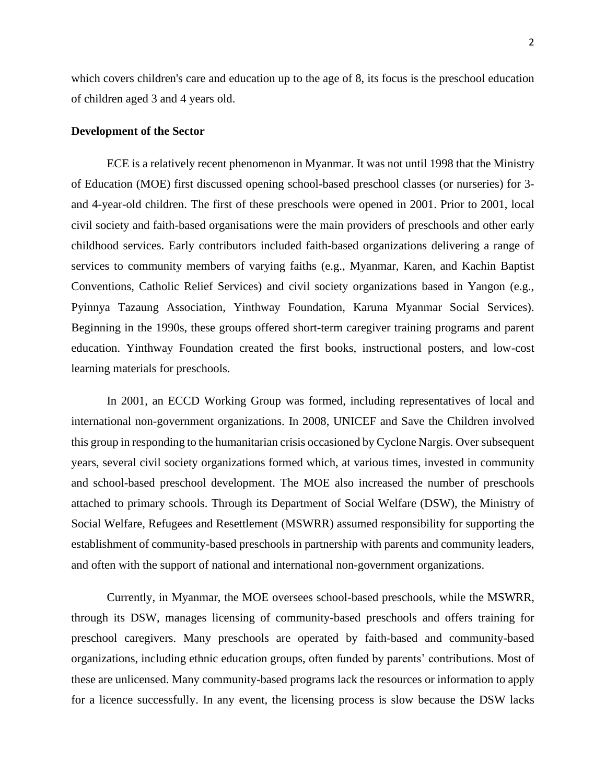which covers children's care and education up to the age of 8, its focus is the preschool education of children aged 3 and 4 years old.

## **Development of the Sector**

ECE is a relatively recent phenomenon in Myanmar. It was not until 1998 that the Ministry of Education (MOE) first discussed opening school-based preschool classes (or nurseries) for 3 and 4-year-old children. The first of these preschools were opened in 2001. Prior to 2001, local civil society and faith-based organisations were the main providers of preschools and other early childhood services. Early contributors included faith-based organizations delivering a range of services to community members of varying faiths (e.g., Myanmar, Karen, and Kachin Baptist Conventions, Catholic Relief Services) and civil society organizations based in Yangon (e.g., Pyinnya Tazaung Association, Yinthway Foundation, Karuna Myanmar Social Services). Beginning in the 1990s, these groups offered short-term caregiver training programs and parent education. Yinthway Foundation created the first books, instructional posters, and low-cost learning materials for preschools.

In 2001, an ECCD Working Group was formed, including representatives of local and international non-government organizations. In 2008, UNICEF and Save the Children involved this group in responding to the humanitarian crisis occasioned by Cyclone Nargis. Over subsequent years, several civil society organizations formed which, at various times, invested in community and school-based preschool development. The MOE also increased the number of preschools attached to primary schools. Through its Department of Social Welfare (DSW), the Ministry of Social Welfare, Refugees and Resettlement (MSWRR) assumed responsibility for supporting the establishment of community-based preschools in partnership with parents and community leaders, and often with the support of national and international non-government organizations.

Currently, in Myanmar, the MOE oversees school-based preschools, while the MSWRR, through its DSW, manages licensing of community-based preschools and offers training for preschool caregivers. Many preschools are operated by faith-based and community-based organizations, including ethnic education groups, often funded by parents' contributions. Most of these are unlicensed. Many community-based programs lack the resources or information to apply for a licence successfully. In any event, the licensing process is slow because the DSW lacks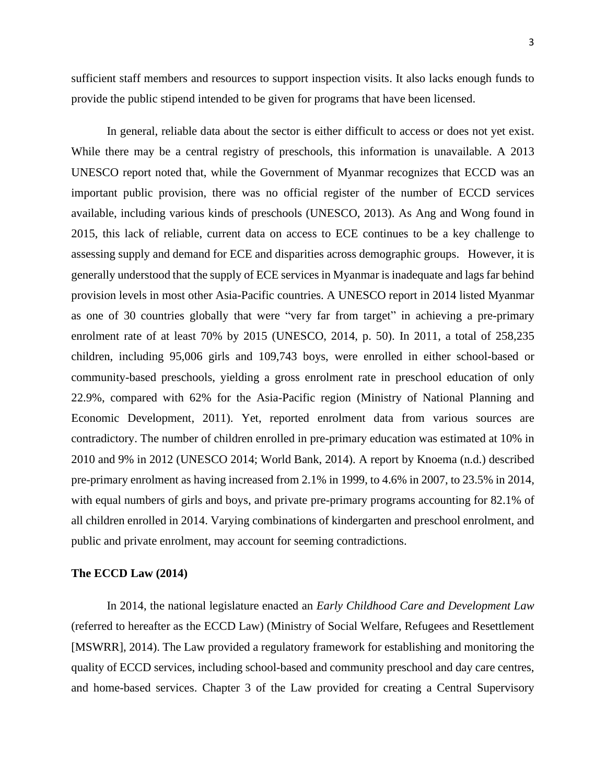sufficient staff members and resources to support inspection visits. It also lacks enough funds to provide the public stipend intended to be given for programs that have been licensed.

In general, reliable data about the sector is either difficult to access or does not yet exist. While there may be a central registry of preschools, this information is unavailable. A 2013 UNESCO report noted that, while the Government of Myanmar recognizes that ECCD was an important public provision, there was no official register of the number of ECCD services available, including various kinds of preschools (UNESCO, 2013). As Ang and Wong found in 2015, this lack of reliable, current data on access to ECE continues to be a key challenge to assessing supply and demand for ECE and disparities across demographic groups. However, it is generally understood that the supply of ECE services in Myanmar is inadequate and lags far behind provision levels in most other Asia-Pacific countries. A UNESCO report in 2014 listed Myanmar as one of 30 countries globally that were "very far from target" in achieving a pre-primary enrolment rate of at least 70% by 2015 (UNESCO, 2014, p. 50). In 2011, a total of 258,235 children, including 95,006 girls and 109,743 boys, were enrolled in either school-based or community-based preschools, yielding a gross enrolment rate in preschool education of only 22.9%, compared with 62% for the Asia-Pacific region (Ministry of National Planning and Economic Development, 2011). Yet, reported enrolment data from various sources are contradictory. The number of children enrolled in pre-primary education was estimated at 10% in 2010 and 9% in 2012 (UNESCO 2014; World Bank, 2014). A report by Knoema (n.d.) described pre-primary enrolment as having increased from 2.1% in 1999, to 4.6% in 2007, to 23.5% in 2014, with equal numbers of girls and boys, and private pre-primary programs accounting for 82.1% of all children enrolled in 2014. Varying combinations of kindergarten and preschool enrolment, and public and private enrolment, may account for seeming contradictions.

## **The ECCD Law (2014)**

In 2014, the national legislature enacted an *Early Childhood Care and Development Law* (referred to hereafter as the ECCD Law) (Ministry of Social Welfare, Refugees and Resettlement [MSWRR], 2014). The Law provided a regulatory framework for establishing and monitoring the quality of ECCD services, including school-based and community preschool and day care centres, and home-based services. Chapter 3 of the Law provided for creating a Central Supervisory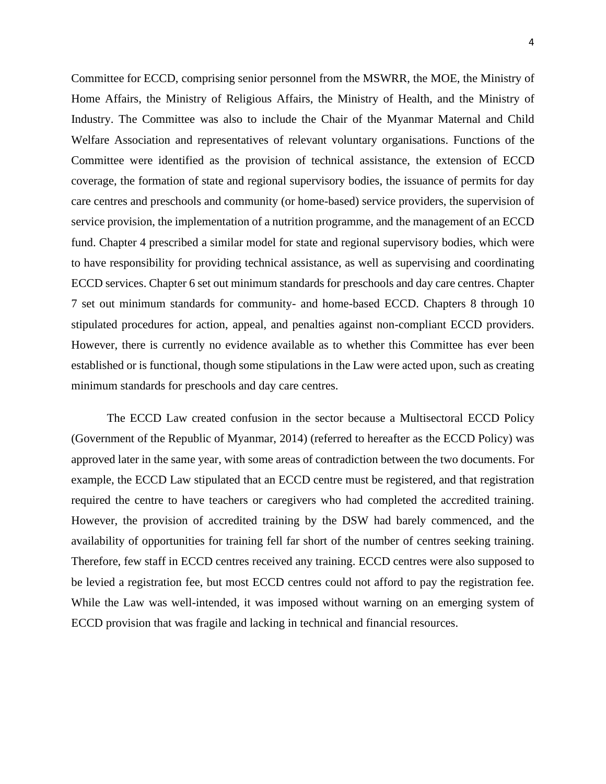4

Committee for ECCD, comprising senior personnel from the MSWRR, the MOE, the Ministry of Home Affairs, the Ministry of Religious Affairs, the Ministry of Health, and the Ministry of Industry. The Committee was also to include the Chair of the Myanmar Maternal and Child Welfare Association and representatives of relevant voluntary organisations. Functions of the Committee were identified as the provision of technical assistance, the extension of ECCD coverage, the formation of state and regional supervisory bodies, the issuance of permits for day care centres and preschools and community (or home-based) service providers, the supervision of service provision, the implementation of a nutrition programme, and the management of an ECCD fund. Chapter 4 prescribed a similar model for state and regional supervisory bodies, which were to have responsibility for providing technical assistance, as well as supervising and coordinating ECCD services. Chapter 6 set out minimum standards for preschools and day care centres. Chapter 7 set out minimum standards for community- and home-based ECCD. Chapters 8 through 10 stipulated procedures for action, appeal, and penalties against non-compliant ECCD providers. However, there is currently no evidence available as to whether this Committee has ever been established or is functional, though some stipulations in the Law were acted upon, such as creating minimum standards for preschools and day care centres.

The ECCD Law created confusion in the sector because a Multisectoral ECCD Policy (Government of the Republic of Myanmar, 2014) (referred to hereafter as the ECCD Policy) was approved later in the same year, with some areas of contradiction between the two documents. For example, the ECCD Law stipulated that an ECCD centre must be registered, and that registration required the centre to have teachers or caregivers who had completed the accredited training. However, the provision of accredited training by the DSW had barely commenced, and the availability of opportunities for training fell far short of the number of centres seeking training. Therefore, few staff in ECCD centres received any training. ECCD centres were also supposed to be levied a registration fee, but most ECCD centres could not afford to pay the registration fee. While the Law was well-intended, it was imposed without warning on an emerging system of ECCD provision that was fragile and lacking in technical and financial resources.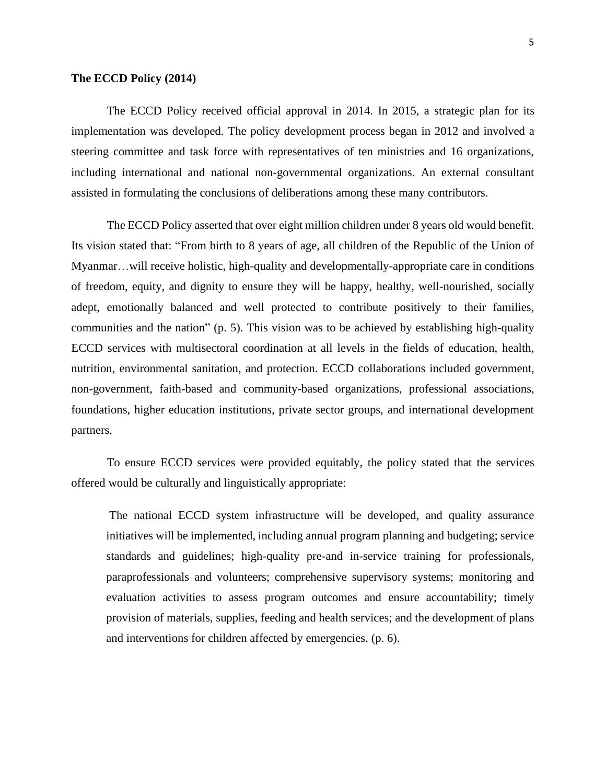#### **The ECCD Policy (2014)**

The ECCD Policy received official approval in 2014. In 2015, a strategic plan for its implementation was developed. The policy development process began in 2012 and involved a steering committee and task force with representatives of ten ministries and 16 organizations, including international and national non-governmental organizations. An external consultant assisted in formulating the conclusions of deliberations among these many contributors.

The ECCD Policy asserted that over eight million children under 8 years old would benefit. Its vision stated that: "From birth to 8 years of age, all children of the Republic of the Union of Myanmar…will receive holistic, high-quality and developmentally-appropriate care in conditions of freedom, equity, and dignity to ensure they will be happy, healthy, well-nourished, socially adept, emotionally balanced and well protected to contribute positively to their families, communities and the nation" (p. 5). This vision was to be achieved by establishing high-quality ECCD services with multisectoral coordination at all levels in the fields of education, health, nutrition, environmental sanitation, and protection. ECCD collaborations included government, non-government, faith-based and community-based organizations, professional associations, foundations, higher education institutions, private sector groups, and international development partners.

To ensure ECCD services were provided equitably, the policy stated that the services offered would be culturally and linguistically appropriate:

The national ECCD system infrastructure will be developed, and quality assurance initiatives will be implemented, including annual program planning and budgeting; service standards and guidelines; high-quality pre-and in-service training for professionals, paraprofessionals and volunteers; comprehensive supervisory systems; monitoring and evaluation activities to assess program outcomes and ensure accountability; timely provision of materials, supplies, feeding and health services; and the development of plans and interventions for children affected by emergencies. (p. 6).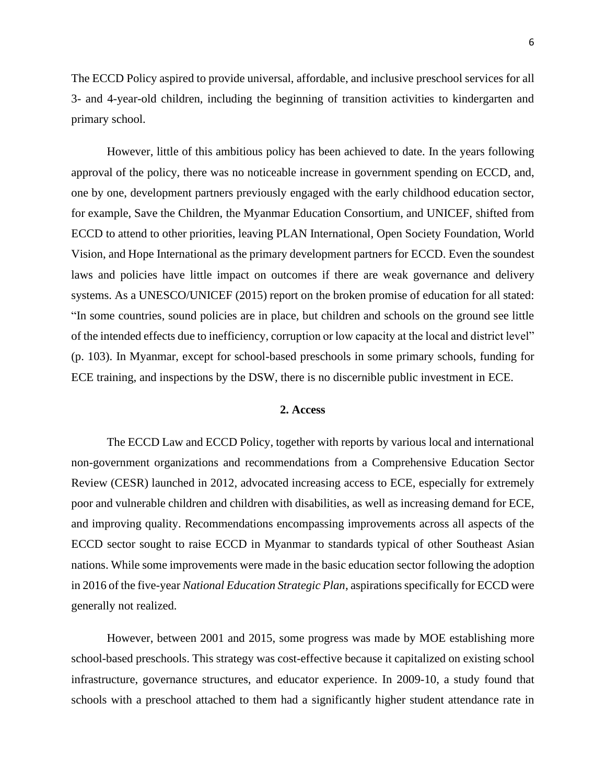The ECCD Policy aspired to provide universal, affordable, and inclusive preschool services for all 3- and 4-year-old children, including the beginning of transition activities to kindergarten and primary school.

However, little of this ambitious policy has been achieved to date. In the years following approval of the policy, there was no noticeable increase in government spending on ECCD, and, one by one, development partners previously engaged with the early childhood education sector, for example, Save the Children, the Myanmar Education Consortium, and UNICEF, shifted from ECCD to attend to other priorities, leaving PLAN International, Open Society Foundation, World Vision, and Hope International as the primary development partners for ECCD. Even the soundest laws and policies have little impact on outcomes if there are weak governance and delivery systems. As a UNESCO/UNICEF (2015) report on the broken promise of education for all stated: "In some countries, sound policies are in place, but children and schools on the ground see little of the intended effects due to inefficiency, corruption or low capacity at the local and district level" (p. 103). In Myanmar, except for school-based preschools in some primary schools, funding for ECE training, and inspections by the DSW, there is no discernible public investment in ECE.

# **2. Access**

The ECCD Law and ECCD Policy, together with reports by various local and international non-government organizations and recommendations from a Comprehensive Education Sector Review (CESR) launched in 2012, advocated increasing access to ECE, especially for extremely poor and vulnerable children and children with disabilities, as well as increasing demand for ECE, and improving quality. Recommendations encompassing improvements across all aspects of the ECCD sector sought to raise ECCD in Myanmar to standards typical of other Southeast Asian nations. While some improvements were made in the basic education sector following the adoption in 2016 of the five-year *National Education Strategic Plan*, aspirations specifically for ECCD were generally not realized.

However, between 2001 and 2015, some progress was made by MOE establishing more school-based preschools. This strategy was cost-effective because it capitalized on existing school infrastructure, governance structures, and educator experience. In 2009-10, a study found that schools with a preschool attached to them had a significantly higher student attendance rate in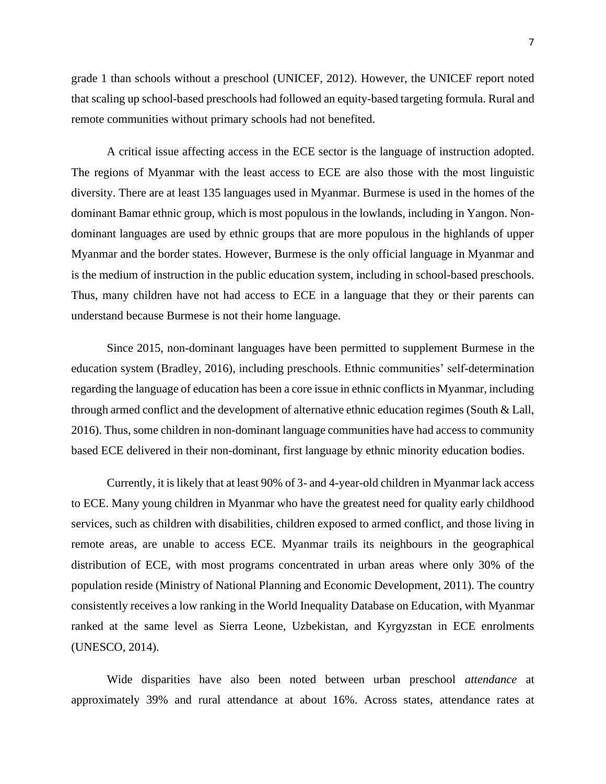grade 1 than schools without a preschool (UNICEF, 2012). However, the UNICEF report noted that scaling up school-based preschools had followed an equity-based targeting formula. Rural and remote communities without primary schools had not benefited.

A critical issue affecting access in the ECE sector is the language of instruction adopted. The regions of Myanmar with the least access to ECE are also those with the most linguistic diversity. There are at least 135 languages used in Myanmar. Burmese is used in the homes of the dominant Bamar ethnic group, which is most populous in the lowlands, including in Yangon. Nondominant languages are used by ethnic groups that are more populous in the highlands of upper Myanmar and the border states. However, Burmese is the only official language in Myanmar and is the medium of instruction in the public education system, including in school-based preschools. Thus, many children have not had access to ECE in a language that they or their parents can understand because Burmese is not their home language.

Since 2015, non-dominant languages have been permitted to supplement Burmese in the education system (Bradley, 2016), including preschools. Ethnic communities' self-determination regarding the language of education has been a core issue in ethnic conflicts in Myanmar, including through armed conflict and the development of alternative ethnic education regimes (South & Lall, 2016). Thus, some children in non-dominant language communities have had access to community based ECE delivered in their non-dominant, first language by ethnic minority education bodies.

Currently, it is likely that at least 90% of 3- and 4-year-old children in Myanmar lack access to ECE. Many young children in Myanmar who have the greatest need for quality early childhood services, such as children with disabilities, children exposed to armed conflict, and those living in remote areas, are unable to access ECE. Myanmar trails its neighbours in the geographical distribution of ECE, with most programs concentrated in urban areas where only 30% of the population reside (Ministry of National Planning and Economic Development, 2011). The country consistently receives a low ranking in the World Inequality Database on Education, with Myanmar ranked at the same level as Sierra Leone, Uzbekistan, and Kyrgyzstan in ECE enrolments (UNESCO, 2014).

Wide disparities have also been noted between urban preschool *attendance* at approximately 39% and rural attendance at about 16%. Across states, attendance rates at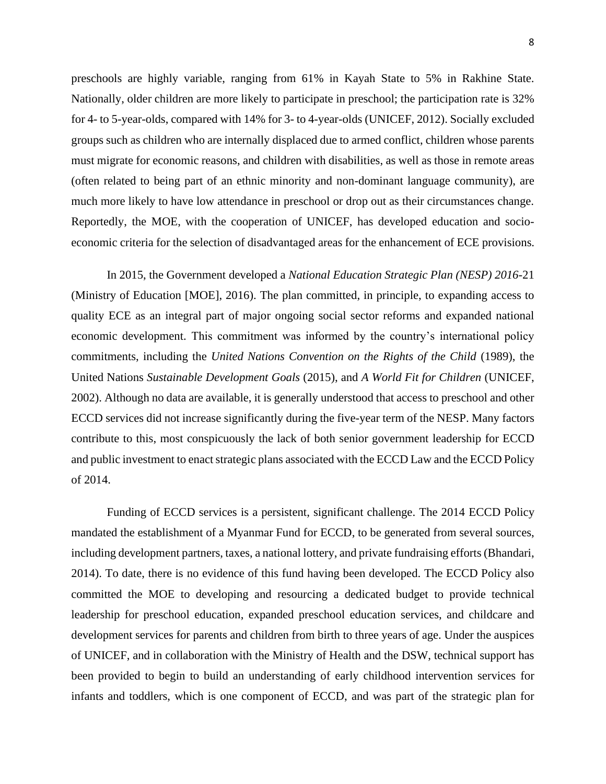preschools are highly variable, ranging from 61% in Kayah State to 5% in Rakhine State. Nationally, older children are more likely to participate in preschool; the participation rate is 32% for 4- to 5-year-olds, compared with 14% for 3- to 4-year-olds (UNICEF, 2012). Socially excluded groups such as children who are internally displaced due to armed conflict, children whose parents must migrate for economic reasons, and children with disabilities, as well as those in remote areas (often related to being part of an ethnic minority and non-dominant language community), are much more likely to have low attendance in preschool or drop out as their circumstances change. Reportedly, the MOE, with the cooperation of UNICEF, has developed education and socioeconomic criteria for the selection of disadvantaged areas for the enhancement of ECE provisions.

In 2015, the Government developed a *National Education Strategic Plan (NESP) 2016-*21 (Ministry of Education [MOE], 2016). The plan committed, in principle, to expanding access to quality ECE as an integral part of major ongoing social sector reforms and expanded national economic development. This commitment was informed by the country's international policy commitments, including the *United Nations Convention on the Rights of the Child* (1989), the United Nations *Sustainable Development Goals* (2015), and *A World Fit for Children* (UNICEF, 2002). Although no data are available, it is generally understood that access to preschool and other ECCD services did not increase significantly during the five-year term of the NESP. Many factors contribute to this, most conspicuously the lack of both senior government leadership for ECCD and public investment to enact strategic plans associated with the ECCD Law and the ECCD Policy of 2014.

Funding of ECCD services is a persistent, significant challenge. The 2014 ECCD Policy mandated the establishment of a Myanmar Fund for ECCD, to be generated from several sources, including development partners, taxes, a national lottery, and private fundraising efforts (Bhandari, 2014). To date, there is no evidence of this fund having been developed. The ECCD Policy also committed the MOE to developing and resourcing a dedicated budget to provide technical leadership for preschool education, expanded preschool education services, and childcare and development services for parents and children from birth to three years of age. Under the auspices of UNICEF, and in collaboration with the Ministry of Health and the DSW, technical support has been provided to begin to build an understanding of early childhood intervention services for infants and toddlers, which is one component of ECCD, and was part of the strategic plan for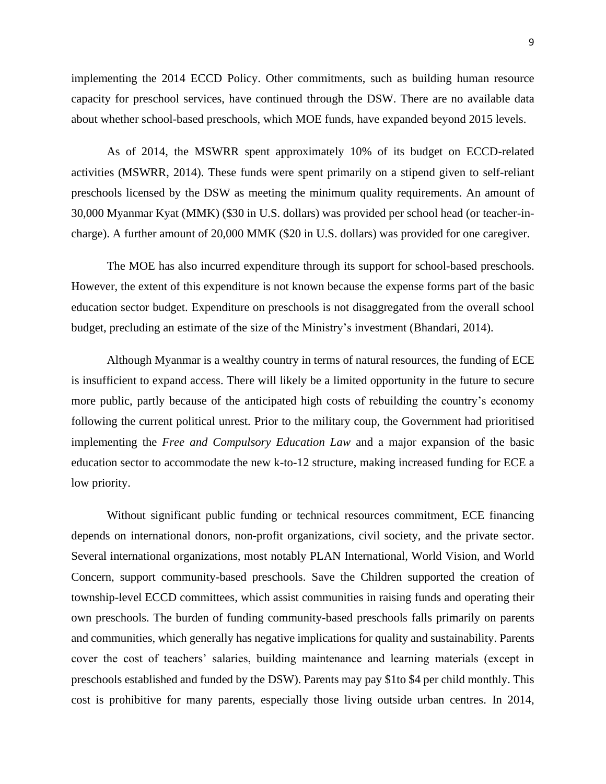implementing the 2014 ECCD Policy. Other commitments, such as building human resource capacity for preschool services, have continued through the DSW. There are no available data about whether school-based preschools, which MOE funds, have expanded beyond 2015 levels.

As of 2014, the MSWRR spent approximately 10% of its budget on ECCD-related activities (MSWRR, 2014). These funds were spent primarily on a stipend given to self-reliant preschools licensed by the DSW as meeting the minimum quality requirements. An amount of 30,000 Myanmar Kyat (MMK) (\$30 in U.S. dollars) was provided per school head (or teacher-incharge). A further amount of 20,000 MMK (\$20 in U.S. dollars) was provided for one caregiver.

The MOE has also incurred expenditure through its support for school-based preschools. However, the extent of this expenditure is not known because the expense forms part of the basic education sector budget. Expenditure on preschools is not disaggregated from the overall school budget, precluding an estimate of the size of the Ministry's investment (Bhandari, 2014).

Although Myanmar is a wealthy country in terms of natural resources, the funding of ECE is insufficient to expand access. There will likely be a limited opportunity in the future to secure more public, partly because of the anticipated high costs of rebuilding the country's economy following the current political unrest. Prior to the military coup, the Government had prioritised implementing the *Free and Compulsory Education Law* and a major expansion of the basic education sector to accommodate the new k-to-12 structure, making increased funding for ECE a low priority.

Without significant public funding or technical resources commitment, ECE financing depends on international donors, non-profit organizations, civil society, and the private sector. Several international organizations, most notably PLAN International, World Vision, and World Concern, support community-based preschools. Save the Children supported the creation of township-level ECCD committees, which assist communities in raising funds and operating their own preschools. The burden of funding community-based preschools falls primarily on parents and communities, which generally has negative implications for quality and sustainability. Parents cover the cost of teachers' salaries, building maintenance and learning materials (except in preschools established and funded by the DSW). Parents may pay \$1to \$4 per child monthly. This cost is prohibitive for many parents, especially those living outside urban centres. In 2014,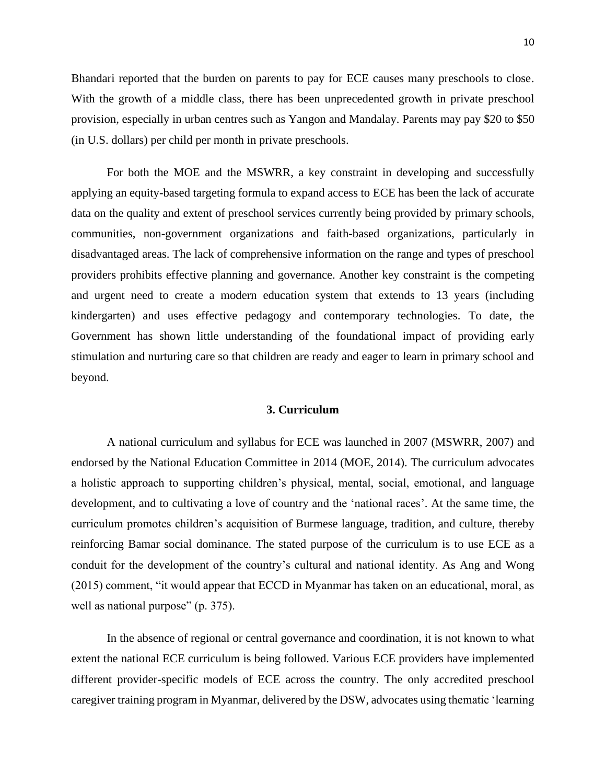Bhandari reported that the burden on parents to pay for ECE causes many preschools to close. With the growth of a middle class, there has been unprecedented growth in private preschool provision, especially in urban centres such as Yangon and Mandalay. Parents may pay \$20 to \$50 (in U.S. dollars) per child per month in private preschools.

For both the MOE and the MSWRR, a key constraint in developing and successfully applying an equity-based targeting formula to expand access to ECE has been the lack of accurate data on the quality and extent of preschool services currently being provided by primary schools, communities, non-government organizations and faith-based organizations, particularly in disadvantaged areas. The lack of comprehensive information on the range and types of preschool providers prohibits effective planning and governance. Another key constraint is the competing and urgent need to create a modern education system that extends to 13 years (including kindergarten) and uses effective pedagogy and contemporary technologies. To date, the Government has shown little understanding of the foundational impact of providing early stimulation and nurturing care so that children are ready and eager to learn in primary school and beyond.

# **3. Curriculum**

A national curriculum and syllabus for ECE was launched in 2007 (MSWRR, 2007) and endorsed by the National Education Committee in 2014 (MOE, 2014). The curriculum advocates a holistic approach to supporting children's physical, mental, social, emotional, and language development, and to cultivating a love of country and the 'national races'. At the same time, the curriculum promotes children's acquisition of Burmese language, tradition, and culture, thereby reinforcing Bamar social dominance. The stated purpose of the curriculum is to use ECE as a conduit for the development of the country's cultural and national identity. As Ang and Wong (2015) comment, "it would appear that ECCD in Myanmar has taken on an educational, moral, as well as national purpose" (p. 375).

In the absence of regional or central governance and coordination, it is not known to what extent the national ECE curriculum is being followed. Various ECE providers have implemented different provider-specific models of ECE across the country. The only accredited preschool caregiver training program in Myanmar, delivered by the DSW, advocates using thematic 'learning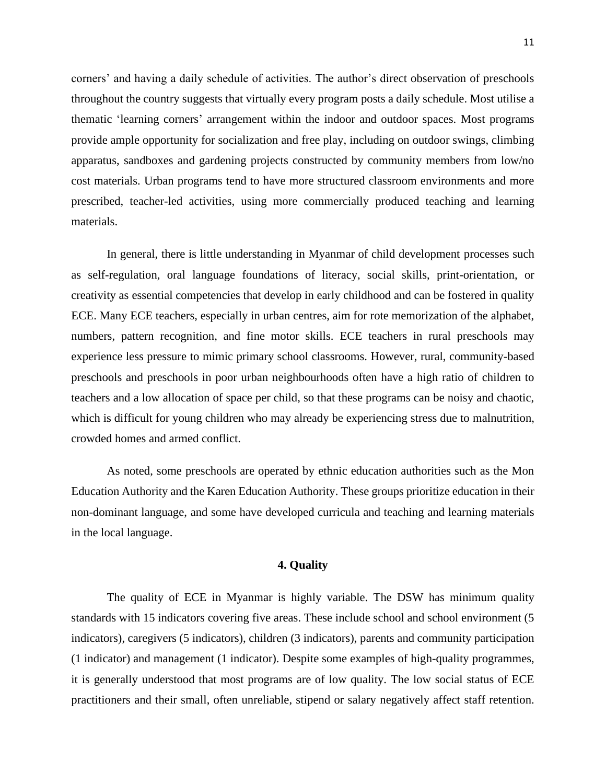corners' and having a daily schedule of activities. The author's direct observation of preschools throughout the country suggests that virtually every program posts a daily schedule. Most utilise a thematic 'learning corners' arrangement within the indoor and outdoor spaces. Most programs provide ample opportunity for socialization and free play, including on outdoor swings, climbing apparatus, sandboxes and gardening projects constructed by community members from low/no cost materials. Urban programs tend to have more structured classroom environments and more prescribed, teacher-led activities, using more commercially produced teaching and learning materials.

In general, there is little understanding in Myanmar of child development processes such as self-regulation, oral language foundations of literacy, social skills, print-orientation, or creativity as essential competencies that develop in early childhood and can be fostered in quality ECE. Many ECE teachers, especially in urban centres, aim for rote memorization of the alphabet, numbers, pattern recognition, and fine motor skills. ECE teachers in rural preschools may experience less pressure to mimic primary school classrooms. However, rural, community-based preschools and preschools in poor urban neighbourhoods often have a high ratio of children to teachers and a low allocation of space per child, so that these programs can be noisy and chaotic, which is difficult for young children who may already be experiencing stress due to malnutrition, crowded homes and armed conflict.

As noted, some preschools are operated by ethnic education authorities such as the Mon Education Authority and the Karen Education Authority. These groups prioritize education in their non-dominant language, and some have developed curricula and teaching and learning materials in the local language.

#### **4. Quality**

The quality of ECE in Myanmar is highly variable. The DSW has minimum quality standards with 15 indicators covering five areas. These include school and school environment (5 indicators), caregivers (5 indicators), children (3 indicators), parents and community participation (1 indicator) and management (1 indicator). Despite some examples of high-quality programmes, it is generally understood that most programs are of low quality. The low social status of ECE practitioners and their small, often unreliable, stipend or salary negatively affect staff retention.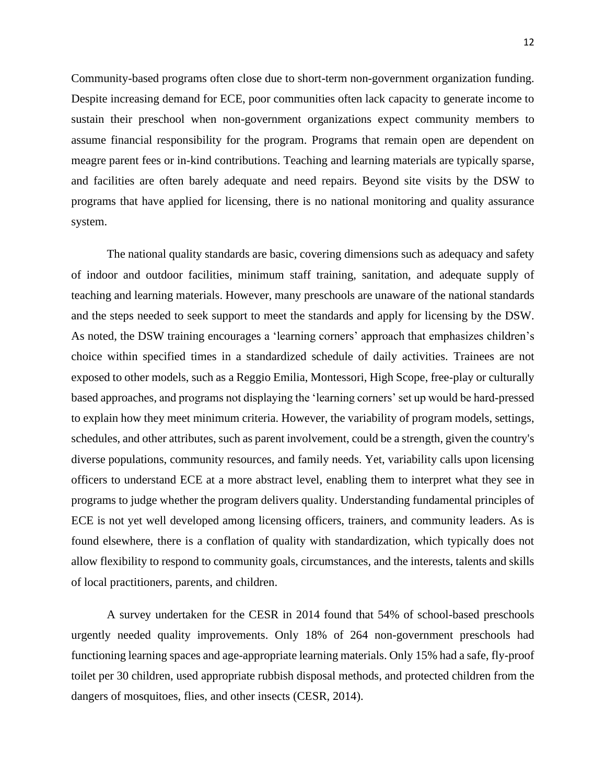Community-based programs often close due to short-term non-government organization funding. Despite increasing demand for ECE, poor communities often lack capacity to generate income to sustain their preschool when non-government organizations expect community members to assume financial responsibility for the program. Programs that remain open are dependent on meagre parent fees or in-kind contributions. Teaching and learning materials are typically sparse, and facilities are often barely adequate and need repairs. Beyond site visits by the DSW to programs that have applied for licensing, there is no national monitoring and quality assurance system.

The national quality standards are basic, covering dimensions such as adequacy and safety of indoor and outdoor facilities, minimum staff training, sanitation, and adequate supply of teaching and learning materials. However, many preschools are unaware of the national standards and the steps needed to seek support to meet the standards and apply for licensing by the DSW. As noted, the DSW training encourages a 'learning corners' approach that emphasizes children's choice within specified times in a standardized schedule of daily activities. Trainees are not exposed to other models, such as a Reggio Emilia, Montessori, High Scope, free-play or culturally based approaches, and programs not displaying the 'learning corners' set up would be hard-pressed to explain how they meet minimum criteria. However, the variability of program models, settings, schedules, and other attributes, such as parent involvement, could be a strength, given the country's diverse populations, community resources, and family needs. Yet, variability calls upon licensing officers to understand ECE at a more abstract level, enabling them to interpret what they see in programs to judge whether the program delivers quality. Understanding fundamental principles of ECE is not yet well developed among licensing officers, trainers, and community leaders. As is found elsewhere, there is a conflation of quality with standardization, which typically does not allow flexibility to respond to community goals, circumstances, and the interests, talents and skills of local practitioners, parents, and children.

A survey undertaken for the CESR in 2014 found that 54% of school-based preschools urgently needed quality improvements. Only 18% of 264 non-government preschools had functioning learning spaces and age-appropriate learning materials. Only 15% had a safe, fly-proof toilet per 30 children, used appropriate rubbish disposal methods, and protected children from the dangers of mosquitoes, flies, and other insects (CESR, 2014).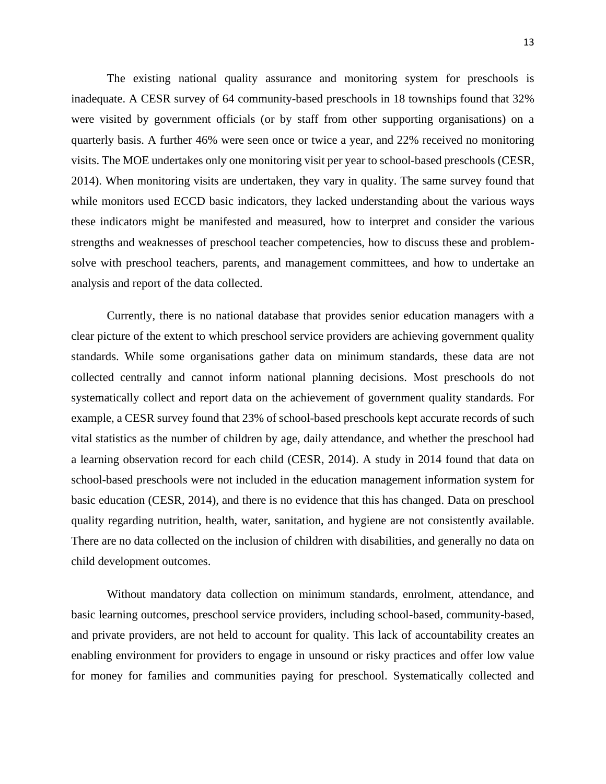The existing national quality assurance and monitoring system for preschools is inadequate. A CESR survey of 64 community-based preschools in 18 townships found that 32% were visited by government officials (or by staff from other supporting organisations) on a quarterly basis. A further 46% were seen once or twice a year, and 22% received no monitoring visits. The MOE undertakes only one monitoring visit per year to school-based preschools (CESR, 2014). When monitoring visits are undertaken, they vary in quality. The same survey found that while monitors used ECCD basic indicators, they lacked understanding about the various ways these indicators might be manifested and measured, how to interpret and consider the various strengths and weaknesses of preschool teacher competencies, how to discuss these and problemsolve with preschool teachers, parents, and management committees, and how to undertake an analysis and report of the data collected.

Currently, there is no national database that provides senior education managers with a clear picture of the extent to which preschool service providers are achieving government quality standards. While some organisations gather data on minimum standards, these data are not collected centrally and cannot inform national planning decisions. Most preschools do not systematically collect and report data on the achievement of government quality standards. For example, a CESR survey found that 23% of school-based preschools kept accurate records of such vital statistics as the number of children by age, daily attendance, and whether the preschool had a learning observation record for each child (CESR, 2014). A study in 2014 found that data on school-based preschools were not included in the education management information system for basic education (CESR, 2014), and there is no evidence that this has changed. Data on preschool quality regarding nutrition, health, water, sanitation, and hygiene are not consistently available. There are no data collected on the inclusion of children with disabilities, and generally no data on child development outcomes.

Without mandatory data collection on minimum standards, enrolment, attendance, and basic learning outcomes, preschool service providers, including school-based, community-based, and private providers, are not held to account for quality. This lack of accountability creates an enabling environment for providers to engage in unsound or risky practices and offer low value for money for families and communities paying for preschool. Systematically collected and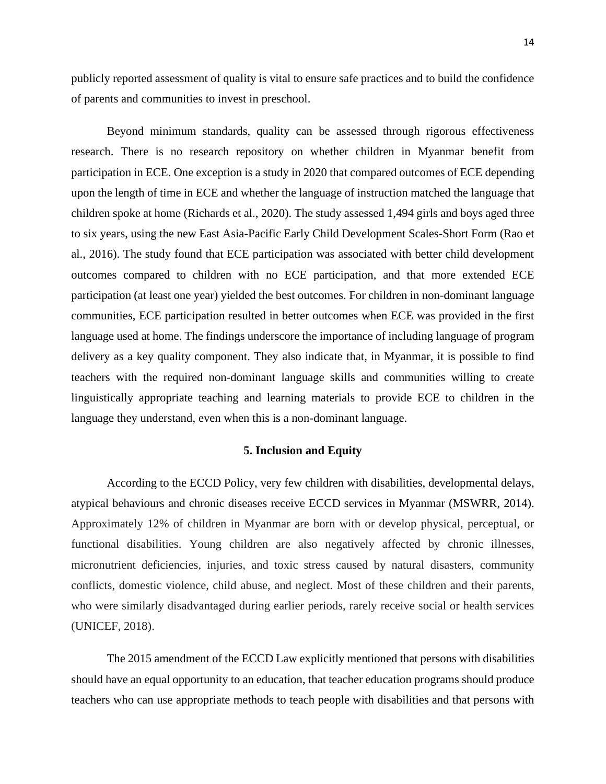publicly reported assessment of quality is vital to ensure safe practices and to build the confidence of parents and communities to invest in preschool.

Beyond minimum standards, quality can be assessed through rigorous effectiveness research. There is no research repository on whether children in Myanmar benefit from participation in ECE. One exception is a study in 2020 that compared outcomes of ECE depending upon the length of time in ECE and whether the language of instruction matched the language that children spoke at home (Richards et al., 2020). The study assessed 1,494 girls and boys aged three to six years, using the new East Asia-Pacific Early Child Development Scales-Short Form (Rao et al., 2016). The study found that ECE participation was associated with better child development outcomes compared to children with no ECE participation, and that more extended ECE participation (at least one year) yielded the best outcomes. For children in non-dominant language communities, ECE participation resulted in better outcomes when ECE was provided in the first language used at home. The findings underscore the importance of including language of program delivery as a key quality component. They also indicate that, in Myanmar, it is possible to find teachers with the required non-dominant language skills and communities willing to create linguistically appropriate teaching and learning materials to provide ECE to children in the language they understand, even when this is a non-dominant language.

# **5. Inclusion and Equity**

According to the ECCD Policy, very few children with disabilities, developmental delays, atypical behaviours and chronic diseases receive ECCD services in Myanmar (MSWRR, 2014). Approximately 12% of children in Myanmar are born with or develop physical, perceptual, or functional disabilities. Young children are also negatively affected by chronic illnesses, micronutrient deficiencies, injuries, and toxic stress caused by natural disasters, community conflicts, domestic violence, child abuse, and neglect. Most of these children and their parents, who were similarly disadvantaged during earlier periods, rarely receive social or health services (UNICEF, 2018).

The 2015 amendment of the ECCD Law explicitly mentioned that persons with disabilities should have an equal opportunity to an education, that teacher education programs should produce teachers who can use appropriate methods to teach people with disabilities and that persons with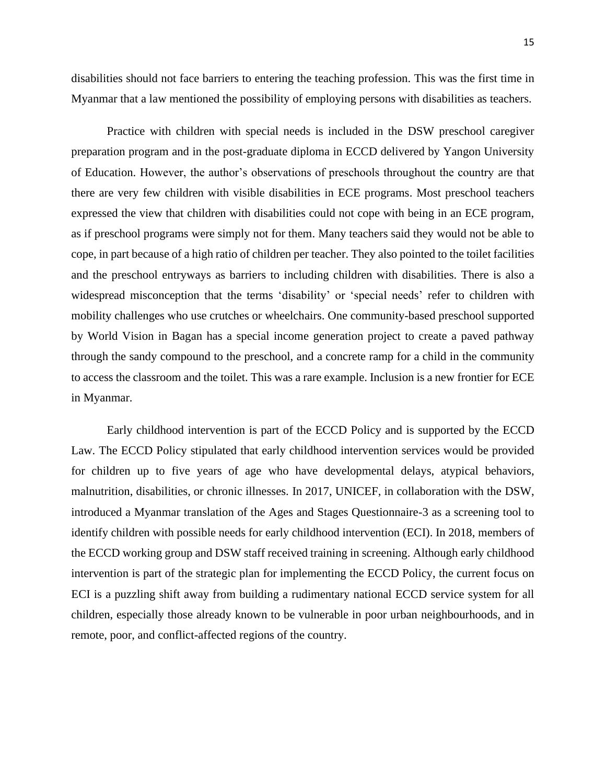15

disabilities should not face barriers to entering the teaching profession. This was the first time in Myanmar that a law mentioned the possibility of employing persons with disabilities as teachers.

Practice with children with special needs is included in the DSW preschool caregiver preparation program and in the post-graduate diploma in ECCD delivered by Yangon University of Education. However, the author's observations of preschools throughout the country are that there are very few children with visible disabilities in ECE programs. Most preschool teachers expressed the view that children with disabilities could not cope with being in an ECE program, as if preschool programs were simply not for them. Many teachers said they would not be able to cope, in part because of a high ratio of children per teacher. They also pointed to the toilet facilities and the preschool entryways as barriers to including children with disabilities. There is also a widespread misconception that the terms 'disability' or 'special needs' refer to children with mobility challenges who use crutches or wheelchairs. One community-based preschool supported by World Vision in Bagan has a special income generation project to create a paved pathway through the sandy compound to the preschool, and a concrete ramp for a child in the community to access the classroom and the toilet. This was a rare example. Inclusion is a new frontier for ECE in Myanmar.

Early childhood intervention is part of the ECCD Policy and is supported by the ECCD Law. The ECCD Policy stipulated that early childhood intervention services would be provided for children up to five years of age who have developmental delays, atypical behaviors, malnutrition, disabilities, or chronic illnesses. In 2017, UNICEF, in collaboration with the DSW, introduced a Myanmar translation of the Ages and Stages Questionnaire-3 as a screening tool to identify children with possible needs for early childhood intervention (ECI). In 2018, members of the ECCD working group and DSW staff received training in screening. Although early childhood intervention is part of the strategic plan for implementing the ECCD Policy, the current focus on ECI is a puzzling shift away from building a rudimentary national ECCD service system for all children, especially those already known to be vulnerable in poor urban neighbourhoods, and in remote, poor, and conflict-affected regions of the country.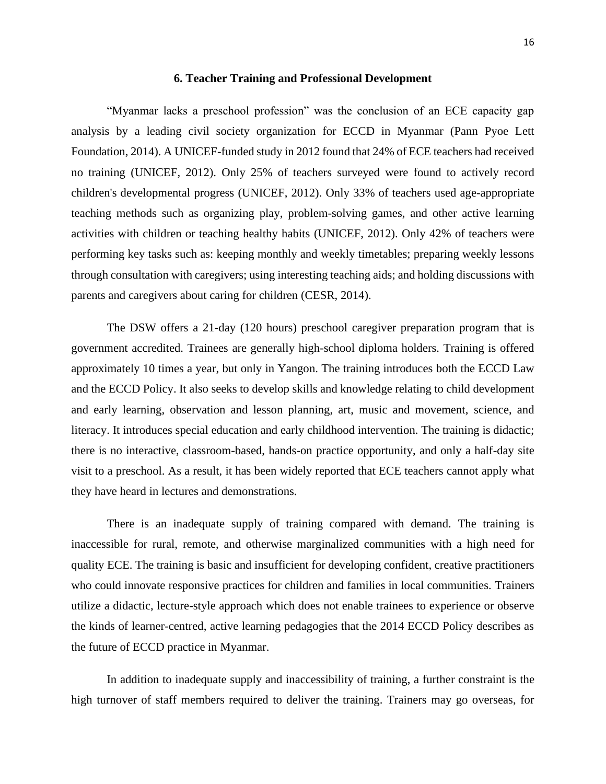## **6. Teacher Training and Professional Development**

"Myanmar lacks a preschool profession" was the conclusion of an ECE capacity gap analysis by a leading civil society organization for ECCD in Myanmar (Pann Pyoe Lett Foundation, 2014). A UNICEF-funded study in 2012 found that 24% of ECE teachers had received no training (UNICEF, 2012). Only 25% of teachers surveyed were found to actively record children's developmental progress (UNICEF, 2012). Only 33% of teachers used age-appropriate teaching methods such as organizing play, problem-solving games, and other active learning activities with children or teaching healthy habits (UNICEF, 2012). Only 42% of teachers were performing key tasks such as: keeping monthly and weekly timetables; preparing weekly lessons through consultation with caregivers; using interesting teaching aids; and holding discussions with parents and caregivers about caring for children (CESR, 2014).

The DSW offers a 21-day (120 hours) preschool caregiver preparation program that is government accredited. Trainees are generally high-school diploma holders. Training is offered approximately 10 times a year, but only in Yangon. The training introduces both the ECCD Law and the ECCD Policy. It also seeks to develop skills and knowledge relating to child development and early learning, observation and lesson planning, art, music and movement, science, and literacy. It introduces special education and early childhood intervention. The training is didactic; there is no interactive, classroom-based, hands-on practice opportunity, and only a half-day site visit to a preschool. As a result, it has been widely reported that ECE teachers cannot apply what they have heard in lectures and demonstrations.

There is an inadequate supply of training compared with demand. The training is inaccessible for rural, remote, and otherwise marginalized communities with a high need for quality ECE. The training is basic and insufficient for developing confident, creative practitioners who could innovate responsive practices for children and families in local communities. Trainers utilize a didactic, lecture-style approach which does not enable trainees to experience or observe the kinds of learner-centred, active learning pedagogies that the 2014 ECCD Policy describes as the future of ECCD practice in Myanmar.

In addition to inadequate supply and inaccessibility of training, a further constraint is the high turnover of staff members required to deliver the training. Trainers may go overseas, for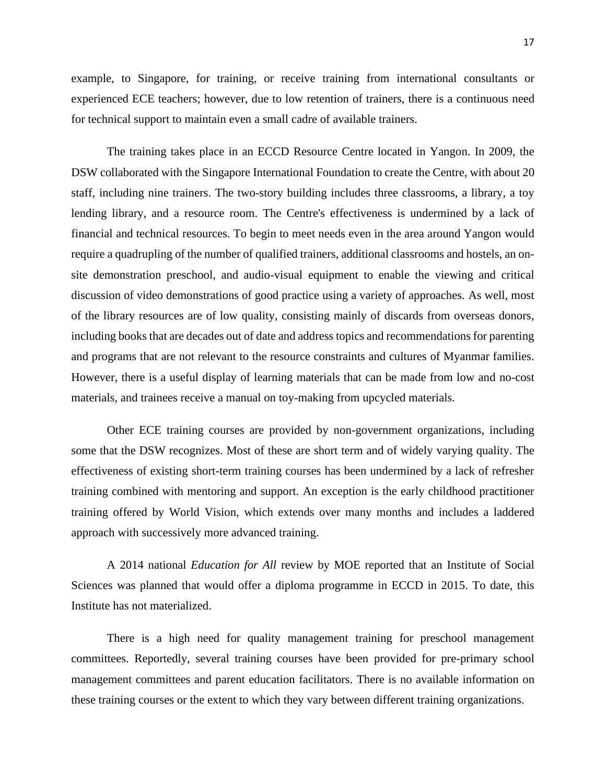example, to Singapore, for training, or receive training from international consultants or experienced ECE teachers; however, due to low retention of trainers, there is a continuous need for technical support to maintain even a small cadre of available trainers.

The training takes place in an ECCD Resource Centre located in Yangon. In 2009, the DSW collaborated with the Singapore International Foundation to create the Centre, with about 20 staff, including nine trainers. The two-story building includes three classrooms, a library, a toy lending library, and a resource room. The Centre's effectiveness is undermined by a lack of financial and technical resources. To begin to meet needs even in the area around Yangon would require a quadrupling of the number of qualified trainers, additional classrooms and hostels, an onsite demonstration preschool, and audio-visual equipment to enable the viewing and critical discussion of video demonstrations of good practice using a variety of approaches. As well, most of the library resources are of low quality, consisting mainly of discards from overseas donors, including books that are decades out of date and address topics and recommendations for parenting and programs that are not relevant to the resource constraints and cultures of Myanmar families. However, there is a useful display of learning materials that can be made from low and no-cost materials, and trainees receive a manual on toy-making from upcycled materials.

Other ECE training courses are provided by non-government organizations, including some that the DSW recognizes. Most of these are short term and of widely varying quality. The effectiveness of existing short-term training courses has been undermined by a lack of refresher training combined with mentoring and support. An exception is the early childhood practitioner training offered by World Vision, which extends over many months and includes a laddered approach with successively more advanced training.

A 2014 national *Education for All* review by MOE reported that an Institute of Social Sciences was planned that would offer a diploma programme in ECCD in 2015. To date, this Institute has not materialized.

There is a high need for quality management training for preschool management committees. Reportedly, several training courses have been provided for pre-primary school management committees and parent education facilitators. There is no available information on these training courses or the extent to which they vary between different training organizations.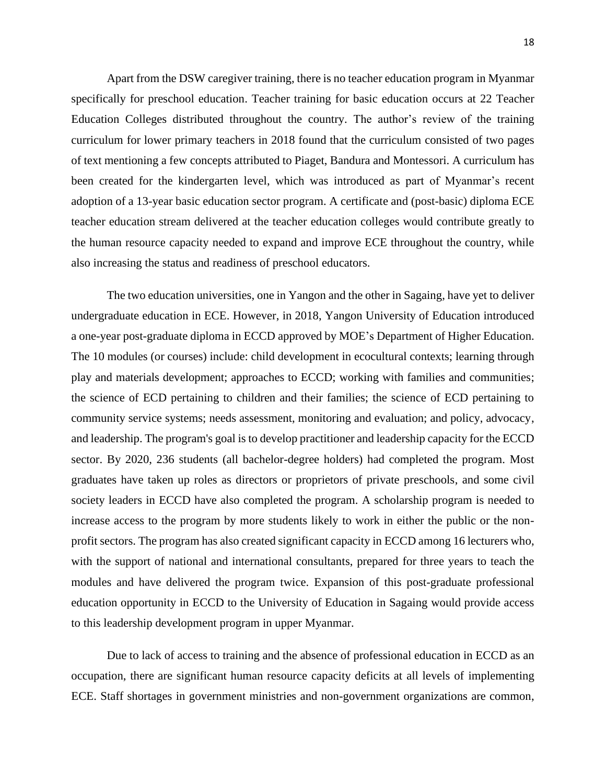Apart from the DSW caregiver training, there is no teacher education program in Myanmar specifically for preschool education. Teacher training for basic education occurs at 22 Teacher Education Colleges distributed throughout the country. The author's review of the training curriculum for lower primary teachers in 2018 found that the curriculum consisted of two pages of text mentioning a few concepts attributed to Piaget, Bandura and Montessori. A curriculum has been created for the kindergarten level, which was introduced as part of Myanmar's recent adoption of a 13-year basic education sector program. A certificate and (post-basic) diploma ECE teacher education stream delivered at the teacher education colleges would contribute greatly to the human resource capacity needed to expand and improve ECE throughout the country, while also increasing the status and readiness of preschool educators.

The two education universities, one in Yangon and the other in Sagaing, have yet to deliver undergraduate education in ECE. However, in 2018, Yangon University of Education introduced a one-year post-graduate diploma in ECCD approved by MOE's Department of Higher Education. The 10 modules (or courses) include: child development in ecocultural contexts; learning through play and materials development; approaches to ECCD; working with families and communities; the science of ECD pertaining to children and their families; the science of ECD pertaining to community service systems; needs assessment, monitoring and evaluation; and policy, advocacy, and leadership. The program's goal is to develop practitioner and leadership capacity for the ECCD sector. By 2020, 236 students (all bachelor-degree holders) had completed the program. Most graduates have taken up roles as directors or proprietors of private preschools, and some civil society leaders in ECCD have also completed the program. A scholarship program is needed to increase access to the program by more students likely to work in either the public or the nonprofit sectors. The program has also created significant capacity in ECCD among 16 lecturers who, with the support of national and international consultants, prepared for three years to teach the modules and have delivered the program twice. Expansion of this post-graduate professional education opportunity in ECCD to the University of Education in Sagaing would provide access to this leadership development program in upper Myanmar.

Due to lack of access to training and the absence of professional education in ECCD as an occupation, there are significant human resource capacity deficits at all levels of implementing ECE. Staff shortages in government ministries and non-government organizations are common,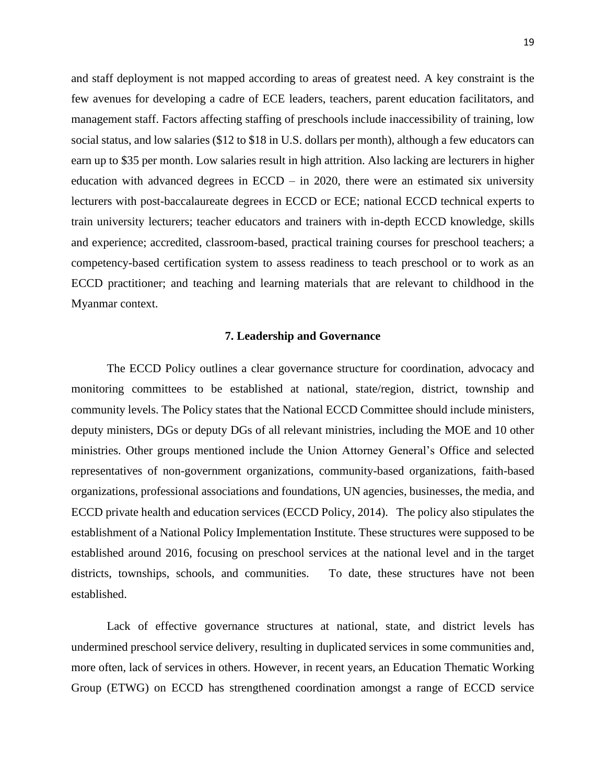and staff deployment is not mapped according to areas of greatest need. A key constraint is the few avenues for developing a cadre of ECE leaders, teachers, parent education facilitators, and management staff. Factors affecting staffing of preschools include inaccessibility of training, low social status, and low salaries (\$12 to \$18 in U.S. dollars per month), although a few educators can earn up to \$35 per month. Low salaries result in high attrition. Also lacking are lecturers in higher education with advanced degrees in  $ECCD - in 2020$ , there were an estimated six university lecturers with post-baccalaureate degrees in ECCD or ECE; national ECCD technical experts to train university lecturers; teacher educators and trainers with in-depth ECCD knowledge, skills and experience; accredited, classroom-based, practical training courses for preschool teachers; a competency-based certification system to assess readiness to teach preschool or to work as an ECCD practitioner; and teaching and learning materials that are relevant to childhood in the Myanmar context.

## **7. Leadership and Governance**

The ECCD Policy outlines a clear governance structure for coordination, advocacy and monitoring committees to be established at national, state/region, district, township and community levels. The Policy states that the National ECCD Committee should include ministers, deputy ministers, DGs or deputy DGs of all relevant ministries, including the MOE and 10 other ministries. Other groups mentioned include the Union Attorney General's Office and selected representatives of non-government organizations, community-based organizations, faith-based organizations, professional associations and foundations, UN agencies, businesses, the media, and ECCD private health and education services (ECCD Policy, 2014). The policy also stipulates the establishment of a National Policy Implementation Institute. These structures were supposed to be established around 2016, focusing on preschool services at the national level and in the target districts, townships, schools, and communities. To date, these structures have not been established.

Lack of effective governance structures at national, state, and district levels has undermined preschool service delivery, resulting in duplicated services in some communities and, more often, lack of services in others. However, in recent years, an Education Thematic Working Group (ETWG) on ECCD has strengthened coordination amongst a range of ECCD service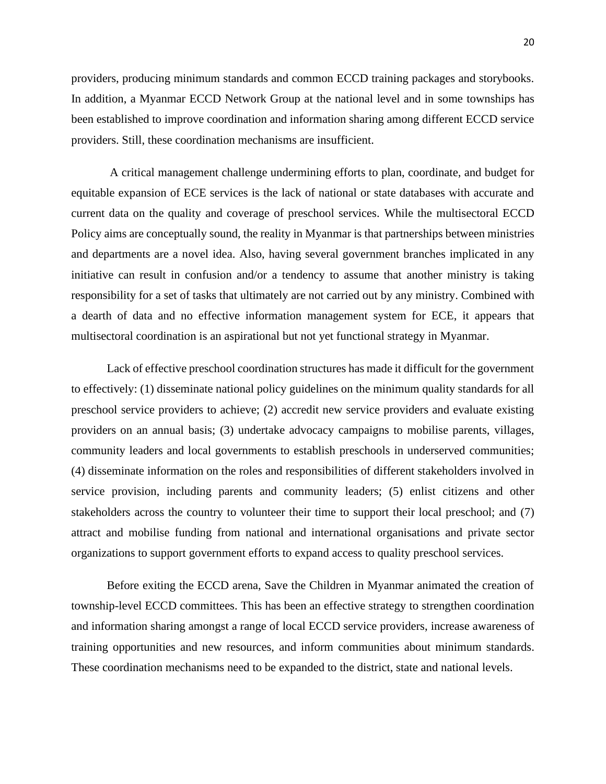providers, producing minimum standards and common ECCD training packages and storybooks. In addition, a Myanmar ECCD Network Group at the national level and in some townships has been established to improve coordination and information sharing among different ECCD service providers. Still, these coordination mechanisms are insufficient.

A critical management challenge undermining efforts to plan, coordinate, and budget for equitable expansion of ECE services is the lack of national or state databases with accurate and current data on the quality and coverage of preschool services. While the multisectoral ECCD Policy aims are conceptually sound, the reality in Myanmar is that partnerships between ministries and departments are a novel idea. Also, having several government branches implicated in any initiative can result in confusion and/or a tendency to assume that another ministry is taking responsibility for a set of tasks that ultimately are not carried out by any ministry. Combined with a dearth of data and no effective information management system for ECE, it appears that multisectoral coordination is an aspirational but not yet functional strategy in Myanmar.

Lack of effective preschool coordination structures has made it difficult for the government to effectively: (1) disseminate national policy guidelines on the minimum quality standards for all preschool service providers to achieve; (2) accredit new service providers and evaluate existing providers on an annual basis; (3) undertake advocacy campaigns to mobilise parents, villages, community leaders and local governments to establish preschools in underserved communities; (4) disseminate information on the roles and responsibilities of different stakeholders involved in service provision, including parents and community leaders; (5) enlist citizens and other stakeholders across the country to volunteer their time to support their local preschool; and (7) attract and mobilise funding from national and international organisations and private sector organizations to support government efforts to expand access to quality preschool services.

Before exiting the ECCD arena, Save the Children in Myanmar animated the creation of township-level ECCD committees. This has been an effective strategy to strengthen coordination and information sharing amongst a range of local ECCD service providers, increase awareness of training opportunities and new resources, and inform communities about minimum standards. These coordination mechanisms need to be expanded to the district, state and national levels.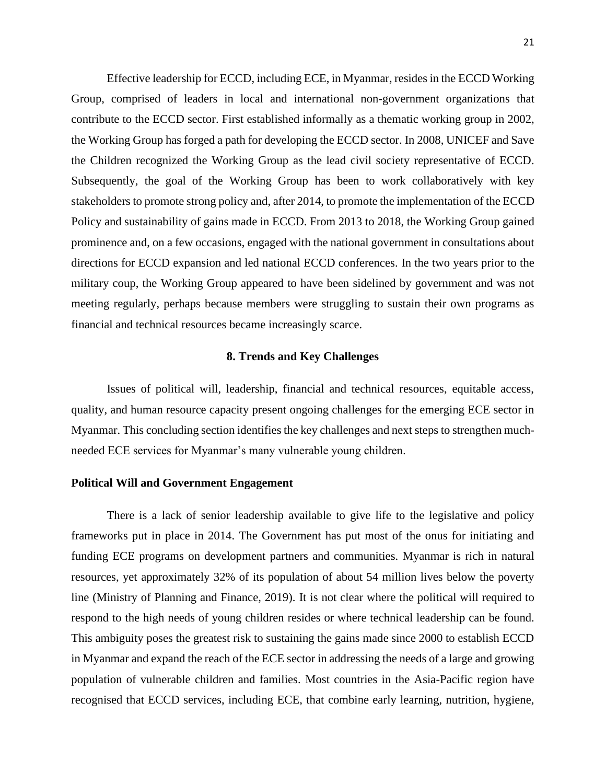Effective leadership for ECCD, including ECE, in Myanmar, resides in the ECCD Working Group, comprised of leaders in local and international non-government organizations that contribute to the ECCD sector. First established informally as a thematic working group in 2002, the Working Group has forged a path for developing the ECCD sector. In 2008, UNICEF and Save the Children recognized the Working Group as the lead civil society representative of ECCD. Subsequently, the goal of the Working Group has been to work collaboratively with key stakeholders to promote strong policy and, after 2014, to promote the implementation of the ECCD Policy and sustainability of gains made in ECCD. From 2013 to 2018, the Working Group gained prominence and, on a few occasions, engaged with the national government in consultations about directions for ECCD expansion and led national ECCD conferences. In the two years prior to the military coup, the Working Group appeared to have been sidelined by government and was not meeting regularly, perhaps because members were struggling to sustain their own programs as financial and technical resources became increasingly scarce.

# **8. Trends and Key Challenges**

Issues of political will, leadership, financial and technical resources, equitable access, quality, and human resource capacity present ongoing challenges for the emerging ECE sector in Myanmar. This concluding section identifies the key challenges and next steps to strengthen muchneeded ECE services for Myanmar's many vulnerable young children.

#### **Political Will and Government Engagement**

There is a lack of senior leadership available to give life to the legislative and policy frameworks put in place in 2014. The Government has put most of the onus for initiating and funding ECE programs on development partners and communities. Myanmar is rich in natural resources, yet approximately 32% of its population of about 54 million lives below the poverty line (Ministry of Planning and Finance, 2019). It is not clear where the political will required to respond to the high needs of young children resides or where technical leadership can be found. This ambiguity poses the greatest risk to sustaining the gains made since 2000 to establish ECCD in Myanmar and expand the reach of the ECE sector in addressing the needs of a large and growing population of vulnerable children and families. Most countries in the Asia-Pacific region have recognised that ECCD services, including ECE, that combine early learning, nutrition, hygiene,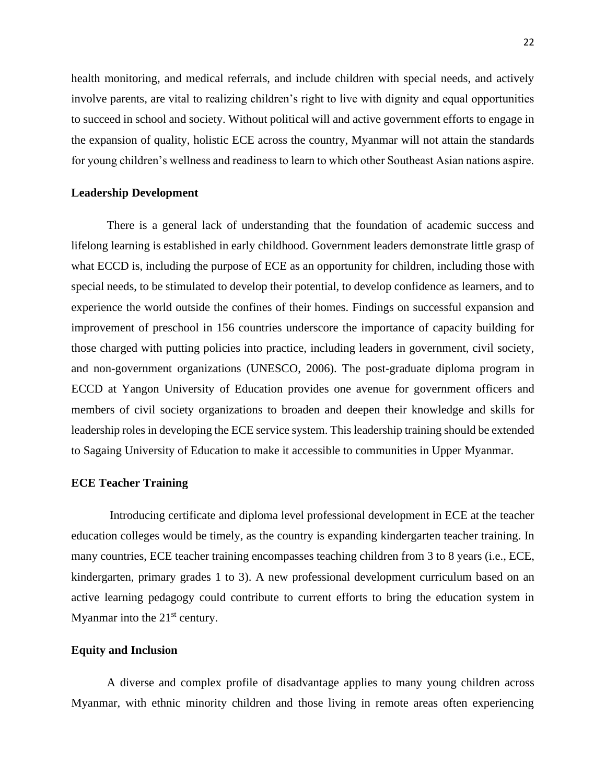health monitoring, and medical referrals, and include children with special needs, and actively involve parents, are vital to realizing children's right to live with dignity and equal opportunities to succeed in school and society. Without political will and active government efforts to engage in the expansion of quality, holistic ECE across the country, Myanmar will not attain the standards for young children's wellness and readiness to learn to which other Southeast Asian nations aspire.

#### **Leadership Development**

There is a general lack of understanding that the foundation of academic success and lifelong learning is established in early childhood. Government leaders demonstrate little grasp of what ECCD is, including the purpose of ECE as an opportunity for children, including those with special needs, to be stimulated to develop their potential, to develop confidence as learners, and to experience the world outside the confines of their homes. Findings on successful expansion and improvement of preschool in 156 countries underscore the importance of capacity building for those charged with putting policies into practice, including leaders in government, civil society, and non-government organizations (UNESCO, 2006). The post-graduate diploma program in ECCD at Yangon University of Education provides one avenue for government officers and members of civil society organizations to broaden and deepen their knowledge and skills for leadership roles in developing the ECE service system. This leadership training should be extended to Sagaing University of Education to make it accessible to communities in Upper Myanmar.

#### **ECE Teacher Training**

Introducing certificate and diploma level professional development in ECE at the teacher education colleges would be timely, as the country is expanding kindergarten teacher training. In many countries, ECE teacher training encompasses teaching children from 3 to 8 years (i.e., ECE, kindergarten, primary grades 1 to 3). A new professional development curriculum based on an active learning pedagogy could contribute to current efforts to bring the education system in Myanmar into the  $21<sup>st</sup>$  century.

# **Equity and Inclusion**

A diverse and complex profile of disadvantage applies to many young children across Myanmar, with ethnic minority children and those living in remote areas often experiencing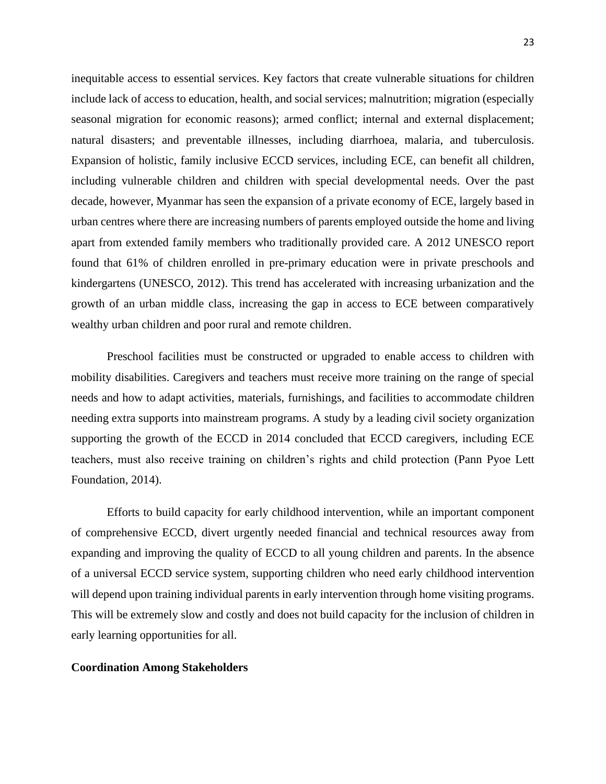inequitable access to essential services. Key factors that create vulnerable situations for children include lack of access to education, health, and social services; malnutrition; migration (especially seasonal migration for economic reasons); armed conflict; internal and external displacement; natural disasters; and preventable illnesses, including diarrhoea, malaria, and tuberculosis. Expansion of holistic, family inclusive ECCD services, including ECE, can benefit all children, including vulnerable children and children with special developmental needs. Over the past decade, however, Myanmar has seen the expansion of a private economy of ECE, largely based in urban centres where there are increasing numbers of parents employed outside the home and living apart from extended family members who traditionally provided care. A 2012 UNESCO report found that 61% of children enrolled in pre-primary education were in private preschools and kindergartens (UNESCO, 2012). This trend has accelerated with increasing urbanization and the growth of an urban middle class, increasing the gap in access to ECE between comparatively wealthy urban children and poor rural and remote children.

Preschool facilities must be constructed or upgraded to enable access to children with mobility disabilities. Caregivers and teachers must receive more training on the range of special needs and how to adapt activities, materials, furnishings, and facilities to accommodate children needing extra supports into mainstream programs. A study by a leading civil society organization supporting the growth of the ECCD in 2014 concluded that ECCD caregivers, including ECE teachers, must also receive training on children's rights and child protection (Pann Pyoe Lett Foundation, 2014).

Efforts to build capacity for early childhood intervention, while an important component of comprehensive ECCD, divert urgently needed financial and technical resources away from expanding and improving the quality of ECCD to all young children and parents. In the absence of a universal ECCD service system, supporting children who need early childhood intervention will depend upon training individual parents in early intervention through home visiting programs. This will be extremely slow and costly and does not build capacity for the inclusion of children in early learning opportunities for all.

## **Coordination Among Stakeholders**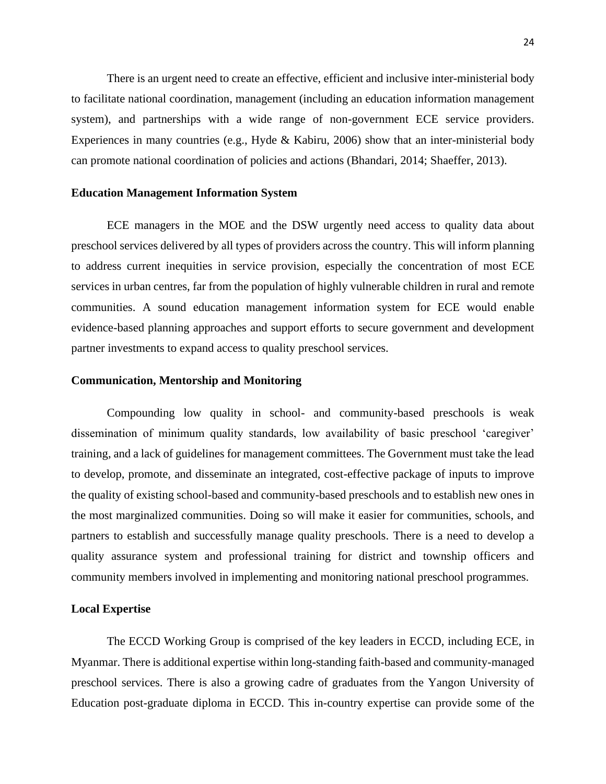There is an urgent need to create an effective, efficient and inclusive inter-ministerial body to facilitate national coordination, management (including an education information management system), and partnerships with a wide range of non-government ECE service providers. Experiences in many countries (e.g., Hyde & Kabiru, 2006) show that an inter-ministerial body can promote national coordination of policies and actions (Bhandari, 2014; Shaeffer, 2013).

#### **Education Management Information System**

ECE managers in the MOE and the DSW urgently need access to quality data about preschool services delivered by all types of providers across the country. This will inform planning to address current inequities in service provision, especially the concentration of most ECE services in urban centres, far from the population of highly vulnerable children in rural and remote communities. A sound education management information system for ECE would enable evidence-based planning approaches and support efforts to secure government and development partner investments to expand access to quality preschool services.

## **Communication, Mentorship and Monitoring**

Compounding low quality in school- and community-based preschools is weak dissemination of minimum quality standards, low availability of basic preschool 'caregiver' training, and a lack of guidelines for management committees. The Government must take the lead to develop, promote, and disseminate an integrated, cost-effective package of inputs to improve the quality of existing school-based and community-based preschools and to establish new ones in the most marginalized communities. Doing so will make it easier for communities, schools, and partners to establish and successfully manage quality preschools. There is a need to develop a quality assurance system and professional training for district and township officers and community members involved in implementing and monitoring national preschool programmes.

## **Local Expertise**

The ECCD Working Group is comprised of the key leaders in ECCD, including ECE, in Myanmar. There is additional expertise within long-standing faith-based and community-managed preschool services. There is also a growing cadre of graduates from the Yangon University of Education post-graduate diploma in ECCD. This in-country expertise can provide some of the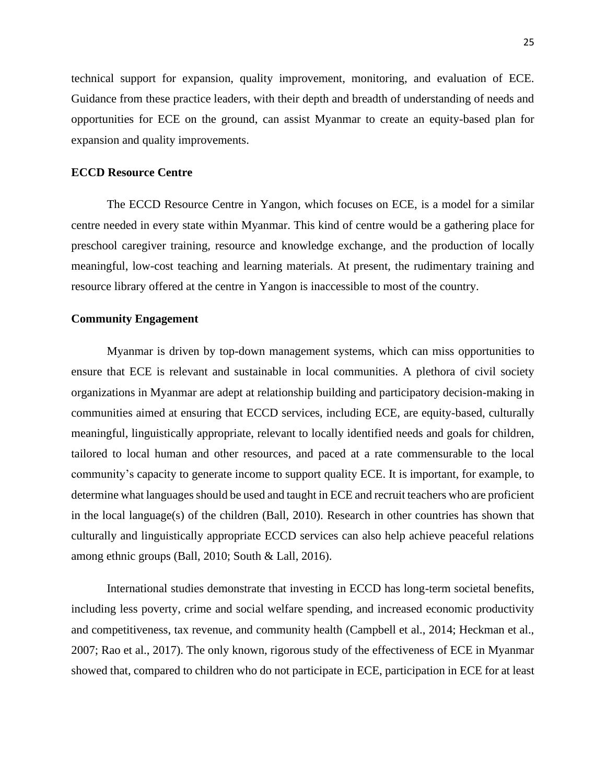technical support for expansion, quality improvement, monitoring, and evaluation of ECE. Guidance from these practice leaders, with their depth and breadth of understanding of needs and opportunities for ECE on the ground, can assist Myanmar to create an equity-based plan for expansion and quality improvements.

# **ECCD Resource Centre**

The ECCD Resource Centre in Yangon, which focuses on ECE, is a model for a similar centre needed in every state within Myanmar. This kind of centre would be a gathering place for preschool caregiver training, resource and knowledge exchange, and the production of locally meaningful, low-cost teaching and learning materials. At present, the rudimentary training and resource library offered at the centre in Yangon is inaccessible to most of the country.

# **Community Engagement**

Myanmar is driven by top-down management systems, which can miss opportunities to ensure that ECE is relevant and sustainable in local communities. A plethora of civil society organizations in Myanmar are adept at relationship building and participatory decision-making in communities aimed at ensuring that ECCD services, including ECE, are equity-based, culturally meaningful, linguistically appropriate, relevant to locally identified needs and goals for children, tailored to local human and other resources, and paced at a rate commensurable to the local community's capacity to generate income to support quality ECE. It is important, for example, to determine what languages should be used and taught in ECE and recruit teachers who are proficient in the local language(s) of the children (Ball, 2010). Research in other countries has shown that culturally and linguistically appropriate ECCD services can also help achieve peaceful relations among ethnic groups (Ball, 2010; South & Lall, 2016).

International studies demonstrate that investing in ECCD has long-term societal benefits, including less poverty, crime and social welfare spending, and increased economic productivity and competitiveness, tax revenue, and community health (Campbell et al., 2014; Heckman et al., 2007; Rao et al., 2017). The only known, rigorous study of the effectiveness of ECE in Myanmar showed that, compared to children who do not participate in ECE, participation in ECE for at least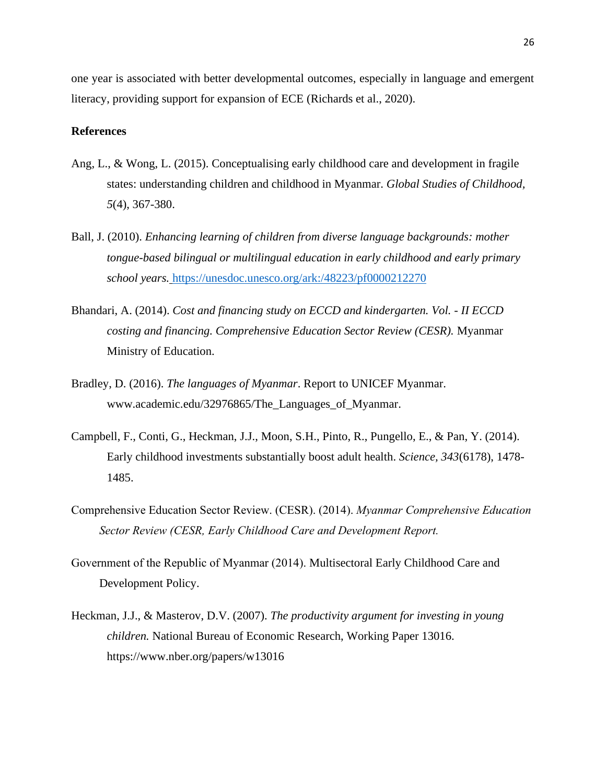one year is associated with better developmental outcomes, especially in language and emergent literacy, providing support for expansion of ECE (Richards et al., 2020).

# **References**

- Ang, L., & Wong, L. (2015). Conceptualising early childhood care and development in fragile states: understanding children and childhood in Myanmar. *Global Studies of Childhood, 5*(4), 367-380.
- Ball, J. (2010). *Enhancing learning of children from diverse language backgrounds: mother tongue-based bilingual or multilingual education in early childhood and early primary school years.* <https://unesdoc.unesco.org/ark:/48223/pf0000212270>
- Bhandari, A. (2014). *Cost and financing study on ECCD and kindergarten. Vol. - II ECCD costing and financing. Comprehensive Education Sector Review (CESR).* Myanmar Ministry of Education.
- Bradley, D. (2016). *The languages of Myanmar*. Report to UNICEF Myanmar. [www.academic.edu/32976865/The\\_Languages\\_of\\_Myanmar.](http://www.academic.edu/32976865/The_Languages_of_Myanmar)
- Campbell, F., Conti, G., Heckman, J.J., Moon, S.H., Pinto, R., Pungello, E., & Pan, Y. (2014). Early childhood investments substantially boost adult health. *Science, 343*(6178), 1478- 1485.
- Comprehensive Education Sector Review. (CESR). (2014). *Myanmar Comprehensive Education Sector Review (CESR, Early Childhood Care and Development Report.*
- Government of the Republic of Myanmar (2014). Multisectoral Early Childhood Care and Development Policy.
- Heckman, J.J., & Masterov, D.V. (2007). *The productivity argument for investing in young children.* National Bureau of Economic Research, Working Paper 13016. <https://www.nber.org/papers/w13016>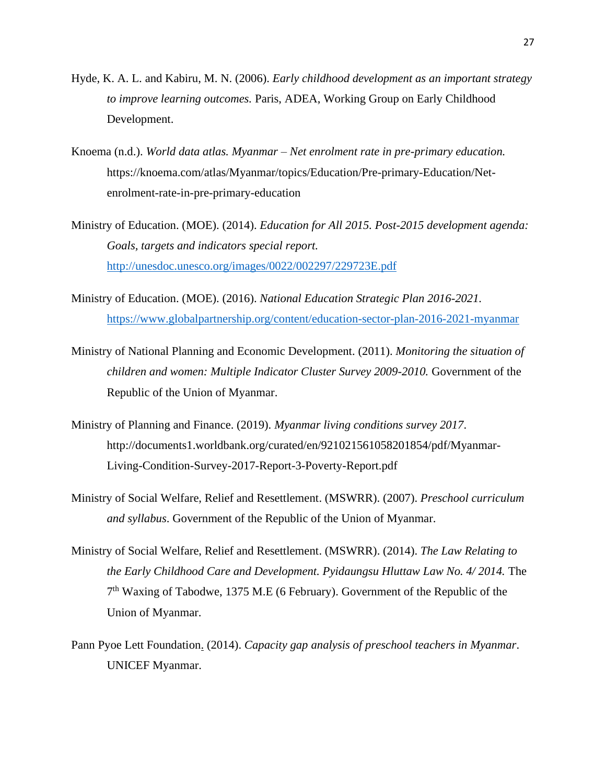- Hyde, K. A. L. and Kabiru, M. N. (2006). *Early childhood development as an important strategy to improve learning outcomes.* Paris, ADEA, Working Group on Early Childhood Development.
- Knoema (n.d.). *World data atlas. Myanmar – Net enrolment rate in pre-primary education.* [https://knoema.com/atlas/Myanmar/topics/Education/Pre-primary-Education/Net](https://knoema.com/atlas/Myanmar/topics/Education/Pre-primary-Education/Net-enrolment-rate-in-pre-primary-education)[enrolment-rate-in-pre-primary-education](https://knoema.com/atlas/Myanmar/topics/Education/Pre-primary-Education/Net-enrolment-rate-in-pre-primary-education)
- Ministry of Education. (MOE). (2014). *Education for All 2015. Post-2015 development agenda: Goals, targets and indicators special report.* <http://unesdoc.unesco.org/images/0022/002297/229723E.pdf>
- Ministry of Education. (MOE). (2016). *National Education Strategic Plan 2016-2021.* <https://www.globalpartnership.org/content/education-sector-plan-2016-2021-myanmar>
- Ministry of National Planning and Economic Development. (2011). *Monitoring the situation of children and women: Multiple Indicator Cluster Survey 2009-2010.* Government of the Republic of the Union of Myanmar.
- Ministry of Planning and Finance. (2019). *Myanmar living conditions survey 2017*. [http://documents1.worldbank.org/curated/en/921021561058201854/pdf/Myanmar-](http://documents1.worldbank.org/curated/en/921021561058201854/pdf/Myanmar-Living-Condition-Survey-2017-Report-3-Poverty-Report.pdf)[Living-Condition-Survey-2017-Report-3-Poverty-Report.pdf](http://documents1.worldbank.org/curated/en/921021561058201854/pdf/Myanmar-Living-Condition-Survey-2017-Report-3-Poverty-Report.pdf)
- Ministry of Social Welfare, Relief and Resettlement. (MSWRR). (2007). *Preschool curriculum and syllabus*. Government of the Republic of the Union of Myanmar.
- Ministry of Social Welfare, Relief and Resettlement. (MSWRR). (2014). *The Law Relating to the Early Childhood Care and Development. Pyidaungsu Hluttaw Law No. 4/ 2014.* The 7<sup>th</sup> Waxing of Tabodwe, 1375 M.E (6 February). Government of the Republic of the Union of Myanmar.
- Pann Pyoe Lett Foundation. (2014). *Capacity gap analysis of preschool teachers in Myanmar*. UNICEF Myanmar.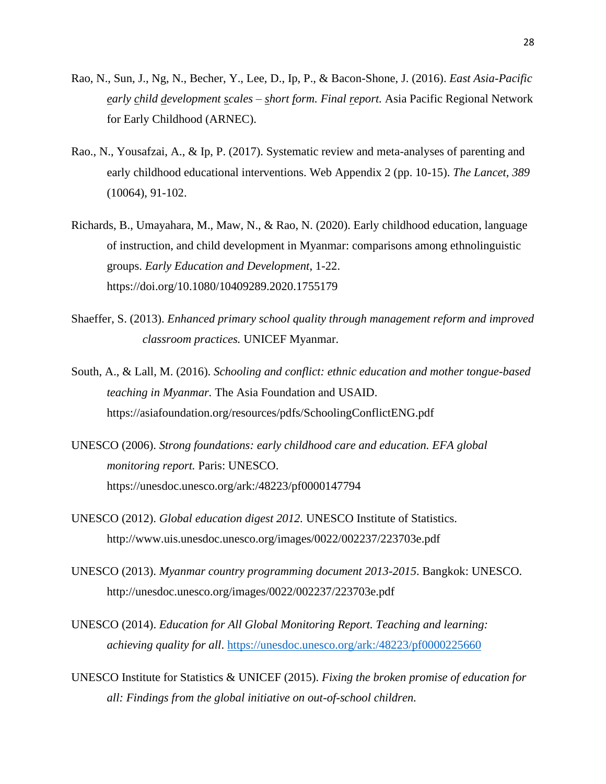- Rao, N., Sun, J., Ng, N., Becher, Y., Lee, D., Ip, P., & Bacon-Shone, J. (2016). *East Asia-Pacific early child development scales – short form. Final report.* Asia Pacific Regional Network for Early Childhood (ARNEC).
- Rao., N., Yousafzai, A., & Ip, P. (2017). Systematic review and meta-analyses of parenting and early childhood educational interventions. Web Appendix 2 (pp. 10-15). *The Lancet, 389* (10064), 91-102.
- Richards, B., Umayahara, M., Maw, N., & Rao, N. (2020). Early childhood education, language of instruction, and child development in Myanmar: comparisons among ethnolinguistic groups. *Early Education and Development*, 1-22. <https://doi.org/10.1080/10409289.2020.1755179>
- Shaeffer, S. (2013). *Enhanced primary school quality through management reform and improved classroom practices.* UNICEF Myanmar.
- South, A., & Lall, M. (2016). *Schooling and conflict: ethnic education and mother tongue-based teaching in Myanmar.* The Asia Foundation and USAID. <https://asiafoundation.org/resources/pdfs/SchoolingConflictENG.pdf>
- UNESCO (2006). *Strong foundations: early childhood care and education. EFA global monitoring report.* Paris: UNESCO. https://unesdoc.unesco.org/ark:/48223/pf0000147794
- UNESCO (2012). *Global education digest 2012.* UNESCO Institute of Statistics. <http://www.uis.unesdoc.unesco.org/images/0022/002237/223703e.pdf>
- UNESCO (2013). *Myanmar country programming document 2013-2015*. Bangkok: UNESCO. [http://unesdoc.unesco.org/images/0022/002237/223703e.pdf](http://unesdoc.unesco.org/images/0022/002237/223703e.pdf/)
- UNESCO (2014). *Education for All Global Monitoring Report. Teaching and learning: achieving quality for all*.<https://unesdoc.unesco.org/ark:/48223/pf0000225660>
- UNESCO Institute for Statistics & UNICEF (2015). *Fixing the broken promise of education for all: Findings from the global initiative on out-of-school children.*